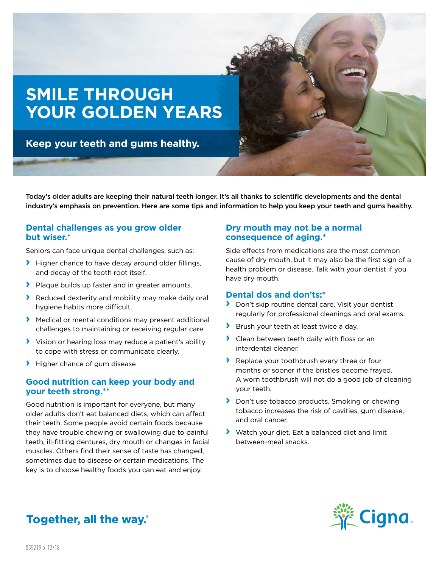

Today's older adults are keeping their natural teeth longer. It's all thanks to scientific developments and the dental industry's emphasis on prevention. Here are some tips and information to help you keep your teeth and gums healthy.

## **Dental challenges as you grow older but wiser.\***

Seniors can face unique dental challenges, such as:

- **›** Higher chance to have decay around older fillings, and decay of the tooth root itself.
- **›** Plaque builds up faster and in greater amounts.
- **›** Reduced dexterity and mobility may make daily oral hygiene habits more difficult.
- **›** Medical or mental conditions may present additional challenges to maintaining or receiving regular care.
- **›** Vision or hearing loss may reduce a patient's ability to cope with stress or communicate clearly.
- **›** Higher chance of gum disease

## **Good nutrition can keep your body and your teeth strong.\*\***

Good nutrition is important for everyone, but many older adults don't eat balanced diets, which can affect their teeth. Some people avoid certain foods because they have trouble chewing or swallowing due to painful teeth, ill-fitting dentures, dry mouth or changes in facial muscles. Others find their sense of taste has changed, sometimes due to disease or certain medications. The key is to choose healthy foods you can eat and enjoy.

## **Dry mouth may not be a normal consequence of aging.\***

Side effects from medications are the most common cause of dry mouth, but it may also be the first sign of a health problem or disease. Talk with your dentist if you have dry mouth.

### **Dental dos and don'ts:\***

- **›** Don't skip routine dental care. Visit your dentist regularly for professional cleanings and oral exams.
- **›** Brush your teeth at least twice a day.
- **›** Clean between teeth daily with floss or an interdental cleaner.
- **›** Replace your toothbrush every three or four months or sooner if the bristles become frayed. A worn toothbrush will not do a good job of cleaning your teeth.
- **›** Don't use tobacco products. Smoking or chewing tobacco increases the risk of cavities, gum disease, and oral cancer.
- **›** Watch your diet. Eat a balanced diet and limit between-meal snacks.



# Together, all the way.